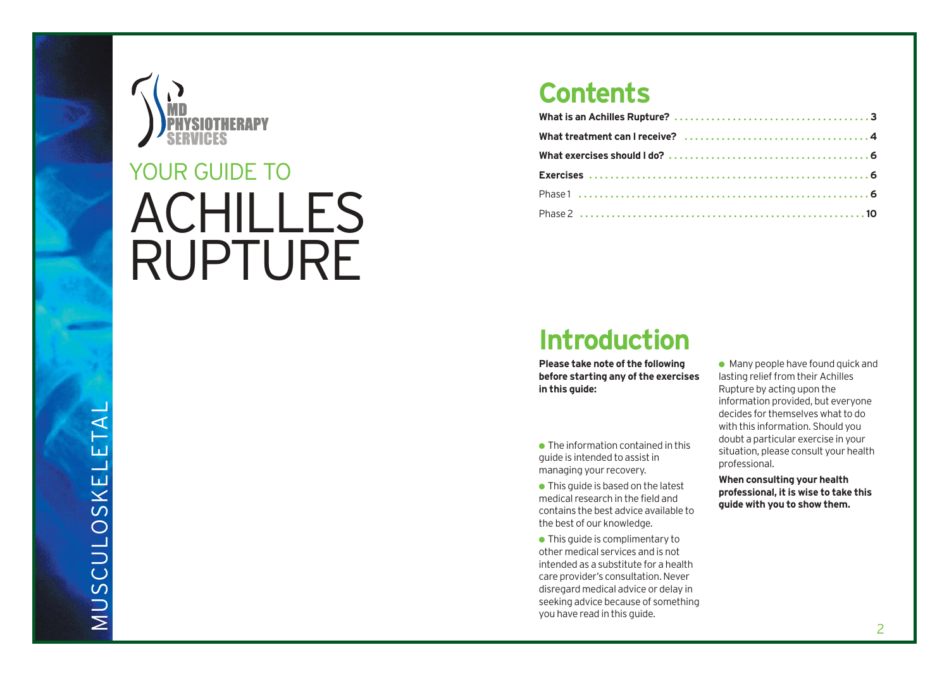

# ACHILLES YOUR GUIDE TO<br>ACHILLES<br>RUPTURE

### **Contents**

### **Introduction**

**Please take note of the following before starting any of the exercises in this guide:**

- The information contained in this guide is intended to assist in managing your recovery.
- $\bullet$  This guide is based on the latest medical r e s earch in the field and contains the best advice available to the best of our knowledge.
- This guide is complimentary to other medical services and is not intended as a substitute for a health care provider's consultation. Never disregard medical advice or delay in seeking advice because of something you have read in this guide.
- $\bullet$  Many people have found quick and lasting relief from their Achilles Rupture by acting upon the information provided, but everyone decides for themselves what to do with this information. Should you doubt a particular exercise in your situation, please consult your health pr o f essional.

**When consulting your health professional, it is wise to take this guide with you to show them.**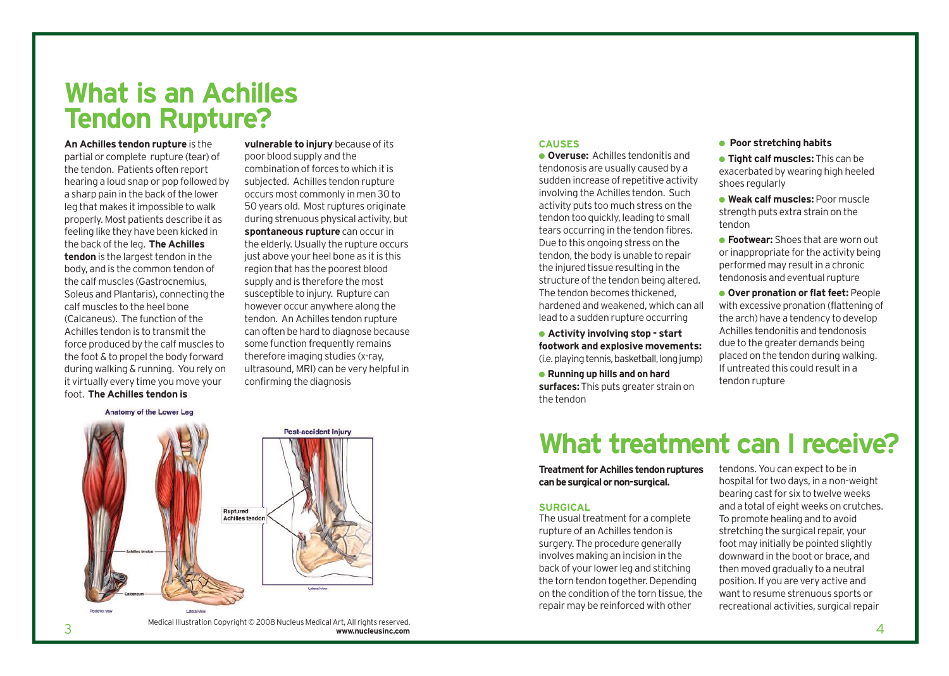### **What is an Achilles Tendon Rupture?**

**An Achilles tendon rupture** is the partial or complete rupture (tear) of the tendon. Patients often report hearing a loud snap or pop followed by a sharp pain in the back of the lower leg that makes it impossible to walk properly. Most patients describe it as feeling like they have been kicked in the back of the leg. **The Achilles tendon** is the largest tendon in the body, and is the common tendon of the calf muscles (Gastrocnemius, Soleus and Plantaris), connecting the calf muscles to the heel bone (Calcaneus). The function of the Achilles tendon is to transmit the force produced by the calf muscles to the foot & to propel the body forward during walking & running. You rely on it virtually every time you move your foot. **The Achilles tendon is**

**vulnerable to injury** because of its poor blood supply and the combination of forces to which it is subjected. Achilles tendon rupture occurs most commonly in men 30 to 50 years old. Most ruptures originate during strenuous physical activity, but **spontaneous rupture** can occur in the elderly. Usually the rupture occurs just above your heel bone as it is this region that has the poorest blood supply and is therefore the most susceptible to injury. Rupture can however occur anywhere along the tendon. An Achilles tendon rupture can often be hard to diagnose because some function frequently remains therefore imaging studies (x-ray, ultrasound, MRI) can be very helpful in confirming the diagnosis



#### **CAUSES**

● **Overuse:** Achilles tendonitis and tendonosis are usually caused by a sudden increase of repetitive activity involving the Achilles tendon. Such activity puts too much stress on the tendon too quickly, leading to small tears occurring in the tendon fibres. Due to this ongoing stress on the tendon, the body is unable to repair the injured tissue resulting in the structure of the tendon being altered. The tendon becomes thickened, hardened and weakened, which can all lead to a sudden rupture occurring

● **Activity involving stop - start footwork and explosive movements:** (i.e. playing tennis, basketball, long jump)

● **Running up hills and on hard surfaces:** This puts greater strain on the tendon

#### ● **Poor stretching habits**

● **Tight calf muscles:** This can be exacerbated by wearing high heeled shoes regularly

● **Weak calf muscles:** Poor muscle strength puts extra strain on the tendon

● **Footwear:** Shoes that are worn out or inappropriate for the activity being performed may result in a chronic tendonosis and eventual rupture

● **Over pronation or flat feet:** People with excessive pronation (flattening of the arch) have a tendency to develop Achilles tendonitis and tendonosis due to the greater demands being placed on the tendon during walking. If untreated this could result in a tendon rupture

### **What treatment can I receive?**

**Treatment for Achilles tendon ruptures can be surgical or non-surgical.**

#### **SURGICAL**

The usual treatment for a complete rupture of an Achilles tendon is surgery. The procedure generally involves making an incision in the back of your lower leg and stitching the torn tendon together. Depending on the condition of the torn tissue, the repair may be reinforced with other

tendons. You can expect to be in hospital for two days, in a non-weight bearing cast for six to twelve weeks and a total of eight weeks on crutches. To promote healing and to avoid stretching the surgical repair, your foot may initially be pointed slightly downward in the boot or brace, and then moved gradually to a neutral position. If you are very active and want to resume strenuous sports or recreational activities, surgical repair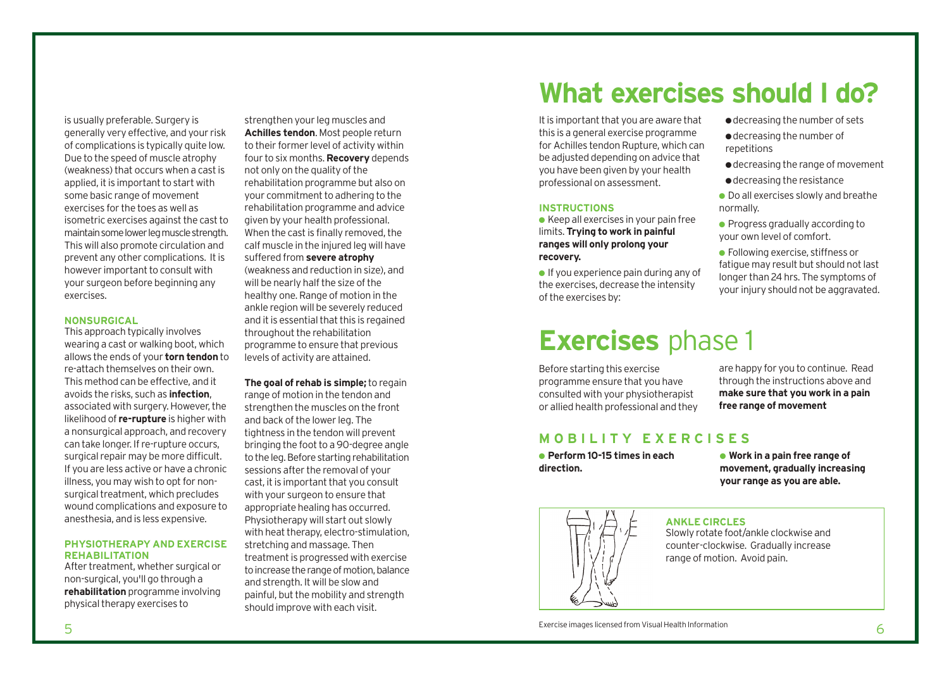is usually preferable. Surgery is generally very effective, and your risk of complications is typically quite low. Due to the speed of muscle atrophy (weakness) that occurs when a cast is applied, it is important to start with some basic range of movement exercises for the toes as well as isometric exercises against the cast to maintain some lower leg muscle strength. This will also promote circulation and prevent any other complications. It is however important to consult with your surgeon before beginning any exercises.

#### **NONSURGICAL**

This approach typically involves wearing a cast or walking boot, which allows the ends of your **torn tendon** to re-attach themselves on their own. This method can be effective, and it avoids the risks, such as **infection**, associated with surgery. However, the likelihood of **re-rupture** is higher with a nonsurgical approach, and recovery can take longer. If re-rupture occurs, surgical repair may be more difficult. If you are less active or have a chronic illness, you may wish to opt for nonsurgical treatment, which precludes wound complications and exposure to anesthesia, and is less expensive.

#### **PHYSIOTHERAPY AND EXERCISE REHABILITATION**

After treatment, whether surgical or non-surgical, you'll go through a **rehabilitation** programme involving physical therapy exercises to

strengthen your leg muscles and **Achilles tendon**. Most people return to their former level of activity within four to six months. **Recovery** depends not only on the quality of the rehabilitation programme but also on your commitment to adhering to the rehabilitation programme and advice given by your health professional. When the cast is finally removed, the calf muscle in the injured leg will have suffered from **severe atrophy** (weakness and reduction in size), and will be nearly half the size of the healthy one. Range of motion in the ankle region will be severely reduced and it is essential that this is regained throughout the rehabilitation

programme to ensure that previous levels of activity are attained.

**The goal of rehab is simple;** to regain range of motion in the tendon and strengthen the muscles on the front and back of the lower leg. The tightness in the tendon will prevent bringing the foot to a 90-degree angle to the leg. Before starting rehabilitation sessions after the removal of your cast, it is important that you consult with your surgeon to ensure that appropriate healing has occurred. Physiotherapy will start out slowly with heat therapy, electro-stimulation, stretching and massage. Then treatment is progressed with exercise to increase the range of motion, balance and strength. It will be slow and painful, but the mobility and strength should improve with each visit.

## **What exercises should I do?**

repetitions

normally.

It is important that you are aware that this is a general exercise programme for Achilles tendon Rupture, which can be adjusted depending on advice that you have been given by your health professional on assessment.

#### **INSTRUCTIONS**

 $\bullet$  Keep all exercises in your pain free limits. **Trying to work in painful ranges will only prolong your recovery.**

● If you experience pain during any of the exercises, decrease the intensity of the exercises by:

### **Exercises** phase 1

Before starting this exercise programme ensure that you have consulted with your physiotherapist or allied health professional and they

#### **MOBILITY EXERCISES**

● **Perform 10-15 times in each direction.**

are happy for you to continue. Read through the instructions above and **make sure that you work in a pain free range of movement**

● decreasing the number of sets ● decreasing the number of

● decreasing the resistance  $\bullet$  Do all exercises slowly and breathe

● Progress gradually according to your own level of comfort. ● Following exercise, stiffness or fatigue may result but should not last longer than 24 hrs. The symptoms of your injury should not be aggravated.

● decreasing the range of movement

● **Work in a pain free range of movement, gradually increasing your range as you are able.**



#### **ANKLE CIRCLES**

Slowly rotate foot/ankle clockwise and counter-clockwise. Gradually increase range of motion. Avoid pain.

exercise images licensed from Visual Health Information in the state of the state of the state of the Second Information in the state of the Second Information in the Second Information in the Second Information in the Sec Exercise images licensed from Visual Health Information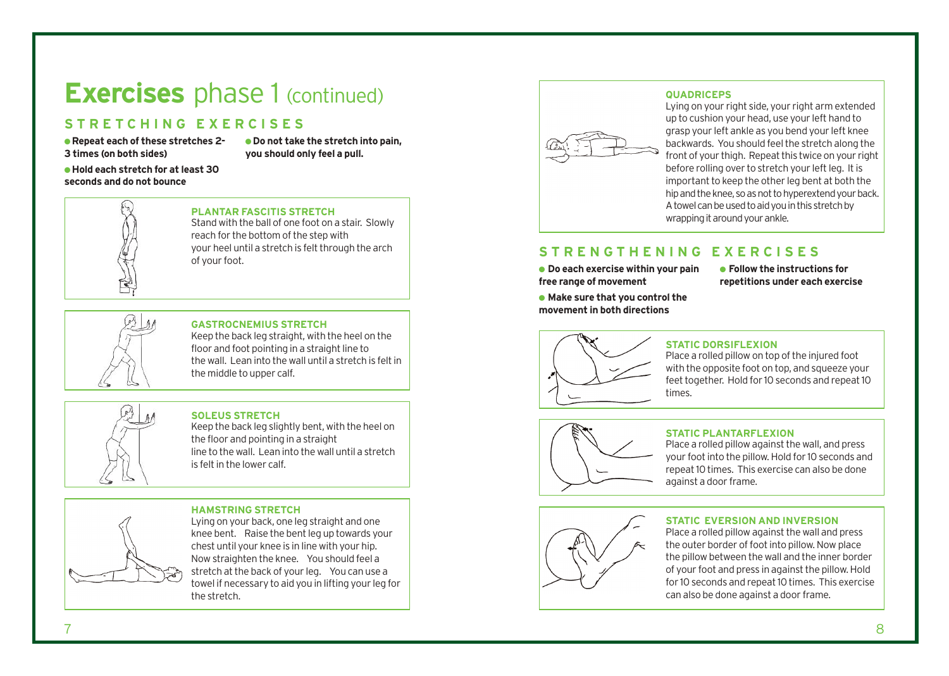### **Exercises** phase 1 (continued)

### **STRETCHING EXERCISES**

● **Repeat each of these stretches 2- 3 times (on both sides)**

● **Do not take the stretch into pain, you should only feel a pull.**

● **Hold each stretch for at least 30 seconds and do not bounce**



#### **PLANTAR FASCITIS STRETCH**

Stand with the ball of one foot on a stair. Slowly reach for the bottom of the step with your heel until a stretch is felt through the arch of your foot.



#### **GASTROCNEMIUS STRETCH**

Keep the back leg straight, with the heel on the floor and foot pointing in a straight line to the wall. Lean into the wall until a stretch is felt in the middle to upper calf.



#### **SOLEUS STRETCH**

Keep the back leg slightly bent, with the heel on the floor and pointing in a straight line to the wall. Lean into the wall until a stretch is felt in the lower calf.

#### **HAMSTRING STRETCH**

Lying on your back, one leg straight and one knee bent. Raise the bent leg up towards your chest until your knee is in line with your hip. Now straighten the knee. You should feel a stretch at the back of your leg. You can use a towel if necessary to aid you in lifting your leg for the stretch.



#### **QUADRICEPS**

Lying on your right side, your right arm extended up to cushion your head, use your left hand to grasp your left ankle as you bend your left knee backwards. You should feel the stretch along the front of your thigh. Repeat this twice on your right before rolling over to stretch your left leg. It is important to keep the other leg bent at both the hip and the knee, so as not to hyperextend your back. A towel can be used to aid you in this stretch by wrapping it around your ankle.

#### **STRENGTHENING EXERCISES**

● **Do each exercise within your pain free range of movement**

● **Make sure that you control the movement in both directions**

● **Follow the instructions for repetitions under each exercise**



#### **STATIC DORSIFLEXION**

Place a rolled pillow on top of the injured foot with the opposite foot on top, and squeeze your feet together. Hold for 10 seconds and repeat 10 times.



#### **STATIC PLANTARFLEXION**

Place a rolled pillow against the wall, and press your foot into the pillow. Hold for 10 seconds and repeat 10 times. This exercise can also be done against a door frame.



#### **STATIC EVERSION AND INVERSION**

Place a rolled pillow against the wall and press the outer border of foot into pillow. Now place the pillow between the wall and the inner border of your foot and press in against the pillow. Hold for 10 seconds and repeat 10 times. This exercise can also be done against a door frame.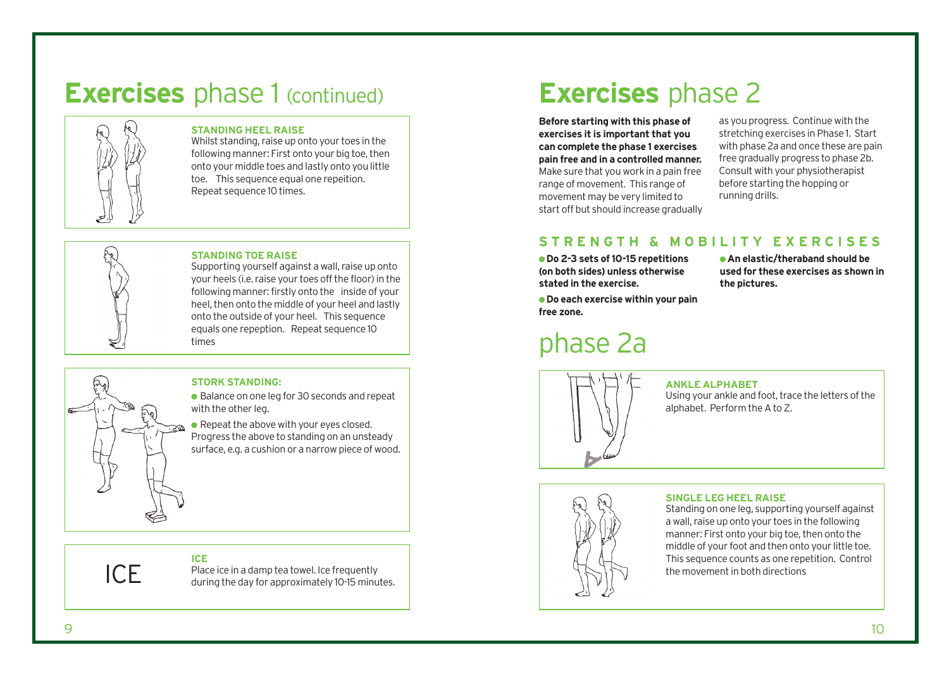## **Exercises** phase 1 (continued)



#### **STANDING HEEL RAISE**

Whilst standing, raise up onto your toes in the following manner: First onto your big toe, then onto your middle toes and lastly onto you little toe. This sequence equal one repeition. Repeat sequence 10 times.



ICE

#### **STANDING TOE RAISE**

Supporting yourself against a wall, raise up onto your heels (i.e. raise your toes off the floor) in the following manner: firstly onto the inside of your heel, then onto the middle of your heel and lastly onto the outside of your heel. This sequence equals one repeption. Repeat sequence 10 times

#### **STORK STANDING:**

● Balance on one leg for 30 seconds and repeat with the other leg.

 $\bullet$  Repeat the above with your eyes closed. Progress the above to standing on an unsteady surface, e.g. a cushion or a narrow piece of wood.

### **ICE**

Place ice in a damp tea towel. Ice frequently during the day for approximately 10-15 minutes.

### **Exercises** phase 2

**Before starting with this phase of exercises it is important that you can complete the phase 1 exercises pain free and in a controlled manner.** Make sure that you work in a pain free range of movement. This range of movement may be very limited to start off but should increase gradually as you progress. Continue with the stretching exercises in Phase 1. Start with phase 2a and once these are pain free gradually progress to phase 2b. Consult with your physiotherapist before starting the hopping or running drills.

### **STRENGTH & MOBILITY EXERCISES**

● **Do 2-3 sets of 10-15 repetitions (on both sides) unless otherwise stated in the exercise.**

● **An elastic/theraband should be used for these exercises as shown in the pictures.**

● **Do each exercise within your pain free zone.**

### phase 2a



#### **ANKLE ALPHABET**

Using your ankle and foot, trace the letters of the alphabet. Perform the A to Z.

### **SINGLE LEG HEEL RAISE**

Standing on one leg, supporting yourself against a wall, raise up onto your toes in the following manner: First onto your big toe, then onto the middle of your foot and then onto your little toe. This sequence counts as one repetition. Control the movement in both directions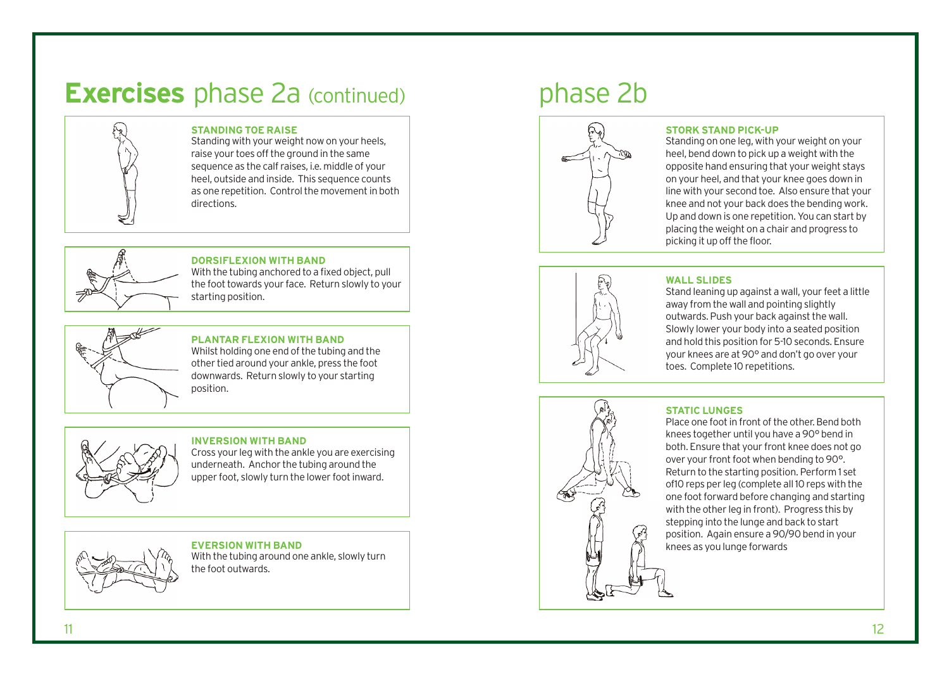### **Exercises** phase 2a (continued) phase 2b



#### **STANDING TOE RAISE**

Standing with your weight now on your heels, raise your toes off the ground in the same sequence as the calf raises, i.e. middle of your heel, outside and inside. This sequence counts as one repetition. Control the movement in both directions.



#### **DORSIFLEXION WITH BAND**

With the tubing anchored to a fixed object, pull the foot towards your face. Return slowly to your starting position.



#### **PLANTAR FLEXION WITH BAND**

Whilst holding one end of the tubing and the other tied around your ankle, press the foot downwards. Return slowly to your starting position.



#### **INVERSION WITH BAND** Cross your leg with the ankle you are exercising underneath. Anchor the tubing around the

upper foot, slowly turn the lower foot inward.

**EVERSION WITH BAND** With the tubing around one ankle, slowly turn the foot outwards.



#### **STORK STAND PICK-UP**

Standing on one leg, with your weight on your heel, bend down to pick up a weight with the opposite hand ensuring that your weight stays on your heel, and that your knee goes down in line with your second toe. Also ensure that your knee and not your back does the bending work. Up and down is one repetition. You can start by placing the weight on a chair and progress to picking it up off the floor.



#### **WALL SLIDES**

Stand leaning up against a wall, your feet a little away from the wall and pointing slightly outwards. Push your back against the wall. Slowly lower your body into a seated position and hold this position for 5-10 seconds. Ensure your knees are at 90° and don't go over your toes. Complete 10 repetitions.



#### **STATIC LUNGES**

Place one foot in front of the other. Bend both knees together until you have a 90° bend in both. Ensure that your front knee does not go over your front foot when bending to 90°. Return to the starting position. Perform 1 set of10 reps per leg (complete all 10 reps with the one foot forward before changing and starting with the other leg in front). Progress this by stepping into the lunge and back to start position. Again ensure a 90/90 bend in your knees as you lunge forwards